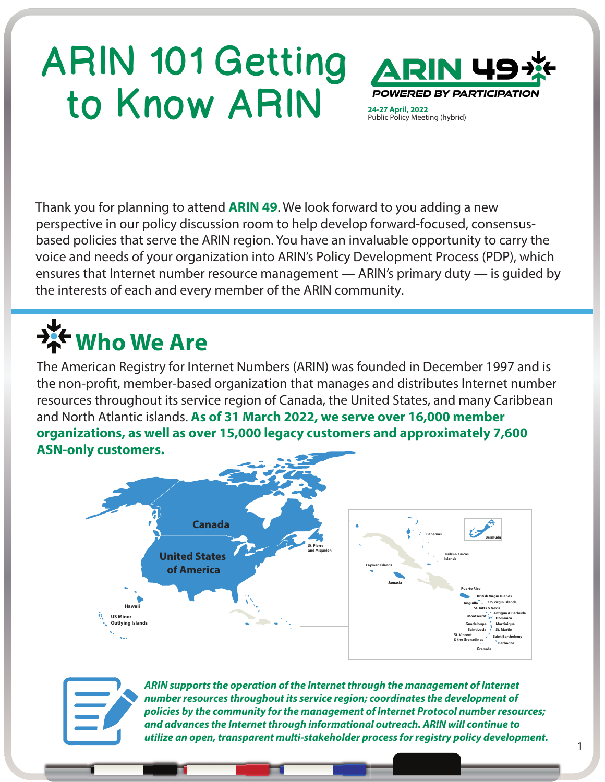## ARIN 101 Getting to Know ARIN **POWERED**

Public Policy Meeting (hybrid)

Thank you for planning to attend **ARIN 49**. We look forward to you adding a new perspective in our policy discussion room to help develop forward-focused, consensusbased policies that serve the ARIN region. You have an invaluable opportunity to carry the voice and needs of your organization into ARIN's Policy Development Process (PDP), which ensures that Internet number resource management — ARIN's primary duty — is guided by the interests of each and every member of the ARIN community.

### **Who We Are**

The American Registry for Internet Numbers (ARIN) was founded in December 1997 and is the non-profit, member-based organization that manages and distributes Internet number resources throughout its service region of Canada, the United States, and many Caribbean and North Atlantic islands. **As of 31 March 2022, we serve over 16,000 member organizations, as well as over 15,000 legacy customers and approximately 7,600 ASN-only customers.**





*ARIN supports the operation of the Internet through the management of Internet number resources throughout its service region; coordinates the development of policies by the community for the management of Internet Protocol number resources; and advances the Internet through informational outreach. ARIN will continue to utilize an open, transparent multi-stakeholder process for registry policy development.*

1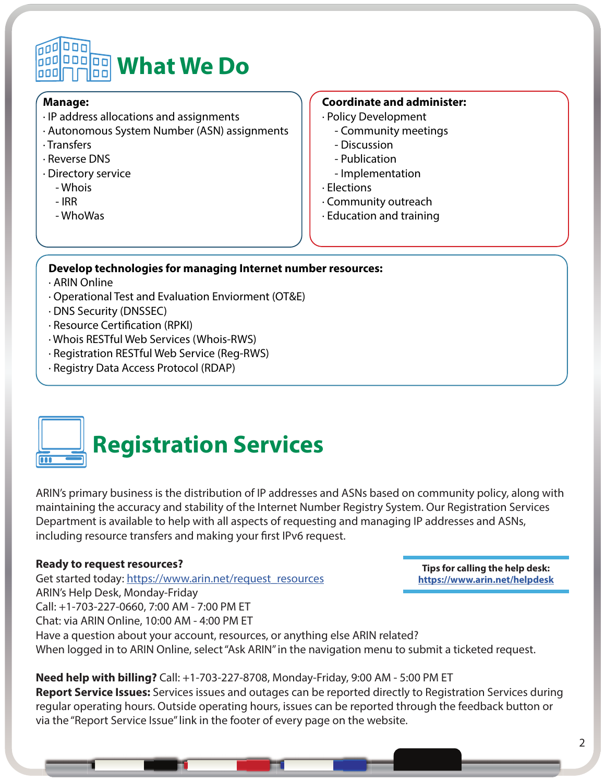### 000 000 **What We Do**

#### **Manage:**

- · IP address allocations and assignments
- · Autonomous System Number (ASN) assignments
- · Transfers
- · Reverse DNS
- · Directory service
	- Whois
	- IRR
	- WhoWas

#### **Coordinate and administer:**

- · Policy Development
	- Community meetings
	- Discussion
	- Publication
	- Implementation
- · Elections
- · Community outreach
- · Education and training

#### **Develop technologies for managing Internet number resources:**

· ARIN Online

 $\overline{\bullet\bullet\bullet}$ 

- · Operational Test and Evaluation Enviorment (OT&E)
- · DNS Security (DNSSEC)
- · Resource Certification (RPKI)
- · Whois RESTful Web Services (Whois-RWS)
- · Registration RESTful Web Service (Reg-RWS)
- · Registry Data Access Protocol (RDAP)

### **Registration Services**

ARIN's primary business is the distribution of IP addresses and ASNs based on community policy, along with maintaining the accuracy and stability of the Internet Number Registry System. Our Registration Services Department is available to help with all aspects of requesting and managing IP addresses and ASNs, including resource transfers and making your first IPv6 request.

#### **Ready to request resources?**

Get started today: [https://www.arin.net/request\\_resources](https://www.arin.net/request_resources) ARIN's Help Desk, Monday-Friday Call: +1-703-227-0660, 7:00 AM - 7:00 PM ET Chat: via ARIN Online, 10:00 AM - 4:00 PM ET Have a question about your account, resources, or anything else ARIN related? When logged in to ARIN Online, select "Ask ARIN" in the navigation menu to submit a ticketed request. **Tips for calling the help desk: <https://www.arin.net/helpdesk>**

**Need help with billing?** Call: +1-703-227-8708, Monday-Friday, 9:00 AM - 5:00 PM ET **Report Service Issues:** Services issues and outages can be reported directly to Registration Services during regular operating hours. Outside operating hours, issues can be reported through the feedback button or via the "Report Service Issue" link in the footer of every page on the website.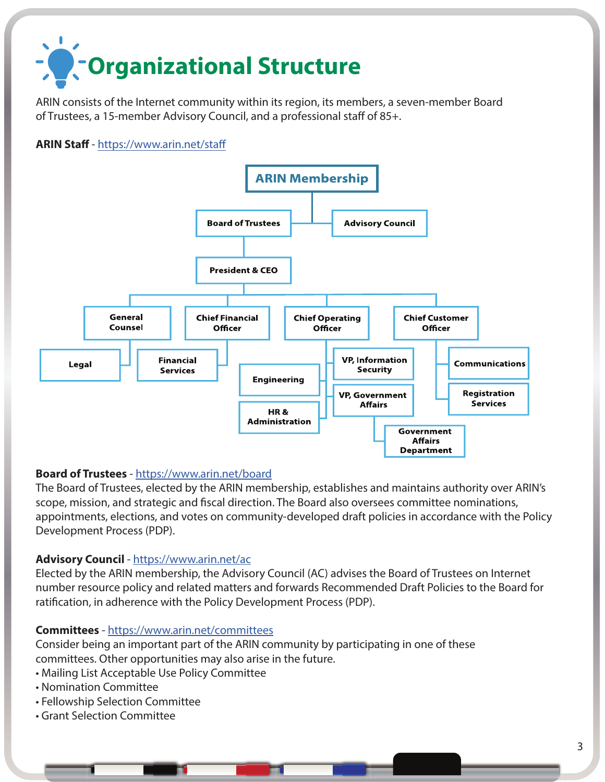# **Organizational Structure**

ARIN consists of the Internet community within its region, its members, a seven-member Board of Trustees, a 15-member Advisory Council, and a professional staff of 85+.

#### **ARIN Staff** - <https://www.arin.net/staff>



#### **Board of Trustees** -<https://www.arin.net/board>

The Board of Trustees, elected by the ARIN membership, establishes and maintains authority over ARIN's scope, mission, and strategic and fiscal direction. The Board also oversees committee nominations, appointments, elections, and votes on community-developed draft policies in accordance with the Policy Development Process (PDP).

#### **Advisory Council** - <https://www.arin.net/ac>

Elected by the ARIN membership, the Advisory Council (AC) advises the Board of Trustees on Internet number resource policy and related matters and forwards Recommended Draft Policies to the Board for ratification, in adherence with the Policy Development Process (PDP).

#### **Committees** -<https://www.arin.net/committees>

Consider being an important part of the ARIN community by participating in one of these committees. Other opportunities may also arise in the future.

- Mailing List Acceptable Use Policy Committee
- Nomination Committee
- Fellowship Selection Committee
- Grant Selection Committee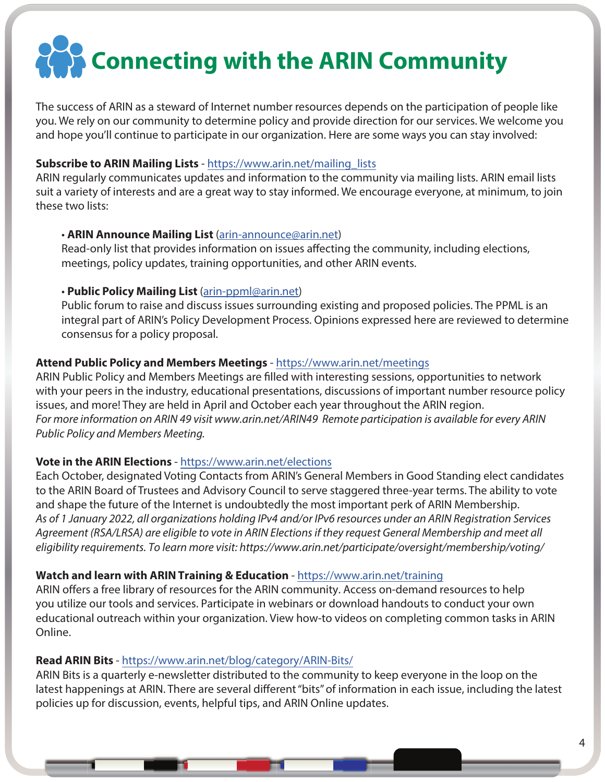## **Connecting with the ARIN Community**

The success of ARIN as a steward of Internet number resources depends on the participation of people like you. We rely on our community to determine policy and provide direction for our services. We welcome you and hope you'll continue to participate in our organization. Here are some ways you can stay involved:

#### **Subscribe to ARIN Mailing Lists** - [https://www.arin.net/mailing\\_lists](https://www.arin.net/mailing_lists)

ARIN regularly communicates updates and information to the community via mailing lists. ARIN email lists suit a variety of interests and are a great way to stay informed. We encourage everyone, at minimum, to join these two lists:

#### • **ARIN Announce Mailing List** ([arin-announce@arin.net](mailto:arin-announce@arin.net))

Read-only list that provides information on issues affecting the community, including elections, meetings, policy updates, training opportunities, and other ARIN events.

#### • **Public Policy Mailing List** ([arin-ppml@arin.net](mailto:arin-ppml@arin.net))

Public forum to raise and discuss issues surrounding existing and proposed policies. The PPML is an integral part of ARIN's Policy Development Process. Opinions expressed here are reviewed to determine consensus for a policy proposal.

#### **Attend Public Policy and Members Meetings** - <https://www.arin.net/meetings>

ARIN Public Policy and Members Meetings are filled with interesting sessions, opportunities to network with your peers in the industry, educational presentations, discussions of important number resource policy issues, and more! They are held in April and October each year throughout the ARIN region. *For more information on ARIN 4*9 *visit www.arin.net/ARIN4*9 *Remote participation is available for every ARIN Public Policy and Members Meeting.*

#### **Vote in the ARIN Elections** - <https://www.arin.net/elections>

Each October, designated Voting Contacts from ARIN's General Members in Good Standing elect candidates to the ARIN Board of Trustees and Advisory Council to serve staggered three-year terms. The ability to vote and shape the future of the Internet is undoubtedly the most important perk of ARIN Membership. As of 1 January 2022, all organizations holding IPv4 and/or IPv6 resources under an ARIN Registration Services Agreement (RSA/LRSA) are eligible to vote in ARIN Elections if they request General Membership and meet all eligibility requirements. To learn more visit: https://www.arin.net/participate/oversight/membership/voting/

#### **Watch and learn with ARIN Training & Education** -<https://www.arin.net/training>

ARIN offers a free library of resources for the ARIN community. Access on-demand resources to help you utilize our tools and services. Participate in webinars or download handouts to conduct your own educational outreach within your organization. View how-to videos on completing common tasks in ARIN Online.

#### **Read ARIN Bits** -<https://www.arin.net/blog/category/ARIN-Bits/>

ARIN Bits is a quarterly e-newsletter distributed to the community to keep everyone in the loop on the latest happenings at ARIN. There are several different "bits" of information in each issue, including the latest policies up for discussion, events, helpful tips, and ARIN Online updates.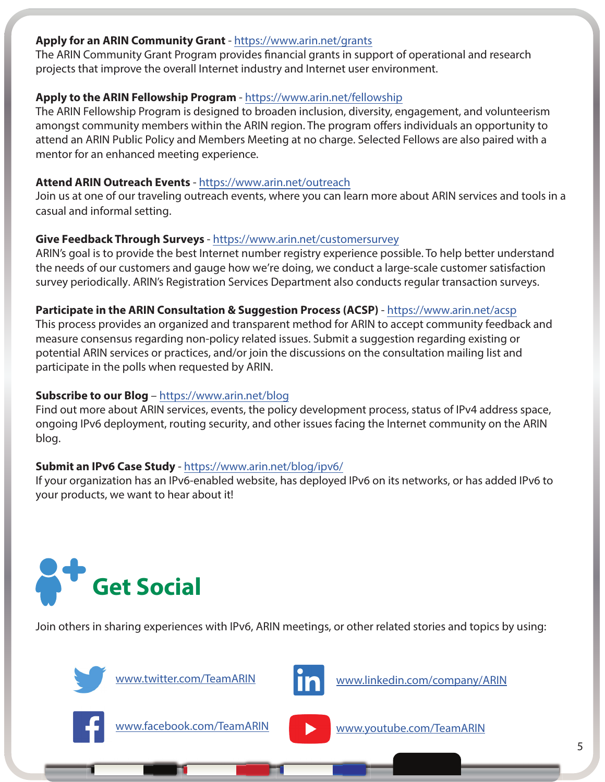#### **Apply for an ARIN Community Grant** -<https://www.arin.net/grants>

The ARIN Community Grant Program provides financial grants in support of operational and research projects that improve the overall Internet industry and Internet user environment.

#### **Apply to the ARIN Fellowship Program** -<https://www.arin.net/fellowship>

The ARIN Fellowship Program is designed to broaden inclusion, diversity, engagement, and volunteerism amongst community members within the ARIN region. The program offers individuals an opportunity to attend an ARIN Public Policy and Members Meeting at no charge. Selected Fellows are also paired with a mentor for an enhanced meeting experience.

#### **Attend ARIN Outreach Events** -<https://www.arin.net/outreach>

Join us at one of our traveling outreach events, where you can learn more about ARIN services and tools in a casual and informal setting.

#### **Give Feedback Through Surveys** - <https://www.arin.net/customersurvey>

ARIN's goal is to provide the best Internet number registry experience possible. To help better understand the needs of our customers and gauge how we're doing, we conduct a large-scale customer satisfaction survey periodically. ARIN's Registration Services Department also conducts regular transaction surveys.

#### **Participate in the ARIN Consultation & Suggestion Process (ACSP)** -<https://www.arin.net/acsp>

This process provides an organized and transparent method for ARIN to accept community feedback and measure consensus regarding non-policy related issues. Submit a suggestion regarding existing or potential ARIN services or practices, and/or join the discussions on the consultation mailing list and participate in the polls when requested by ARIN.

#### **Subscribe to our Blog** –<https://www.arin.net/blog>

Find out more about ARIN services, events, the policy development process, status of IPv4 address space, ongoing IPv6 deployment, routing security, and other issues facing the Internet community on the ARIN blog.

#### **Submit an IPv6 Case Study** -<https://www.arin.net/blog/ipv6/>

If your organization has an IPv6-enabled website, has deployed IPv6 on its networks, or has added IPv6 to your products, we want to hear about it!



Join others in sharing experiences with IPv6, ARIN meetings, or other related stories and topics by using:



[www.twitter.com/TeamARIN](http://www.twitter.com/TeamARIN)



[www.linkedin.com/company/ARIN](http://www.linkedin.com/company/ARIN)



[www.facebook.com/TeamARIN](http://www.facebook.com/TeamARIN)



[www.youtube.com/TeamARIN](http://www.youtube.com/TeamARIN)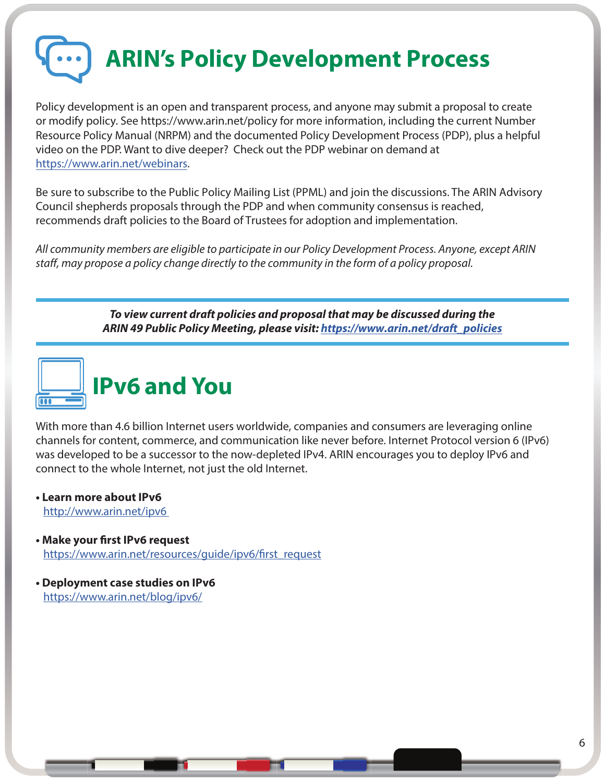**ARIN's Policy Development Process**

Policy development is an open and transparent process, and anyone may submit a proposal to create or modify policy. See https://www.arin.net/policy for more information, including the current Number Resource Policy Manual (NRPM) and the documented Policy Development Process (PDP), plus a helpful video on the PDP. Want to dive deeper? Check out the PDP webinar on demand at [https://www.arin.net/webinars.](https://www.arin.net/webinars)

Be sure to subscribe to the Public Policy Mailing List (PPML) and join the discussions. The ARIN Advisory Council shepherds proposals through the PDP and when community consensus is reached, recommends draft policies to the Board of Trustees for adoption and implementation.

*All community members are eligible to participate in our Policy Development Process. Anyone, except ARIN staff, may propose a policy change directly to the community in the form of a policy proposal.*

> *To view current draft policies and proposal that may be discussed during the ARIN 4***9** *Public Policy Meeting, please visit: [https://www.arin.net/draft\\_policies](https://www.arin.net/draft_policies)*



With more than 4.6 billion Internet users worldwide, companies and consumers are leveraging online channels for content, commerce, and communication like never before. Internet Protocol version 6 (IPv6) was developed to be a successor to the now-depleted IPv4. ARIN encourages you to deploy IPv6 and connect to the whole Internet, not just the old Internet.

**• Learn more about IPv6**

[http://www.arin.net/ipv6](http://www.arin.net/ipv6 )

- **Make your first IPv6 request** [https://www.arin.net/resources/guide/ipv6/first\\_request](https://www.arin.net/resources/guide/ipv6/first_request)
- **Deployment case studies on IPv6** <https://www.arin.net/blog/ipv6/>